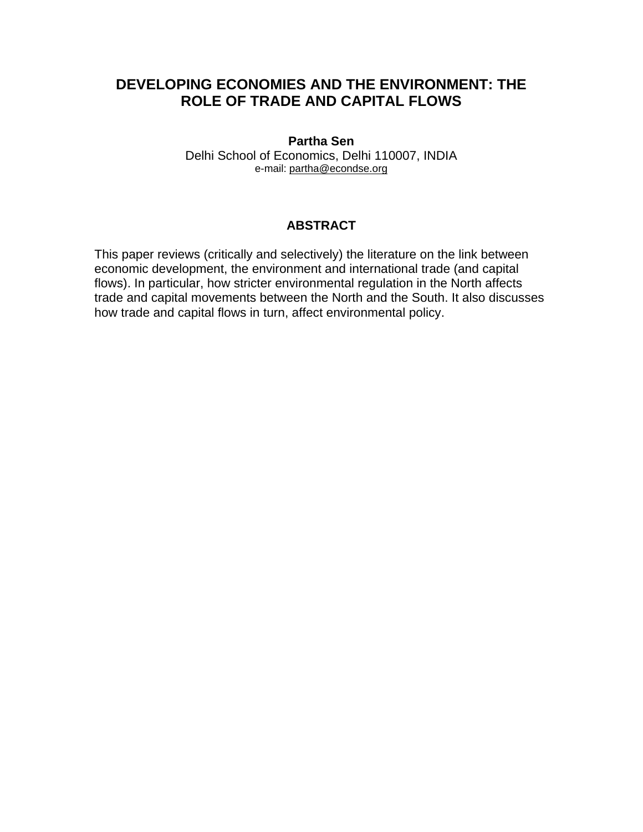# **DEVELOPING ECONOMIES AND THE ENVIRONMENT: THE ROLE OF TRADE AND CAPITAL FLOWS**

# **Partha Sen**

Delhi School of Economics, Delhi 110007, INDIA e-mail: [partha@econdse.org](mailto:partha@econdse.org)

# **ABSTRACT**

This paper reviews (critically and selectively) the literature on the link between economic development, the environment and international trade (and capital flows). In particular, how stricter environmental regulation in the North affects trade and capital movements between the North and the South. It also discusses how trade and capital flows in turn, affect environmental policy.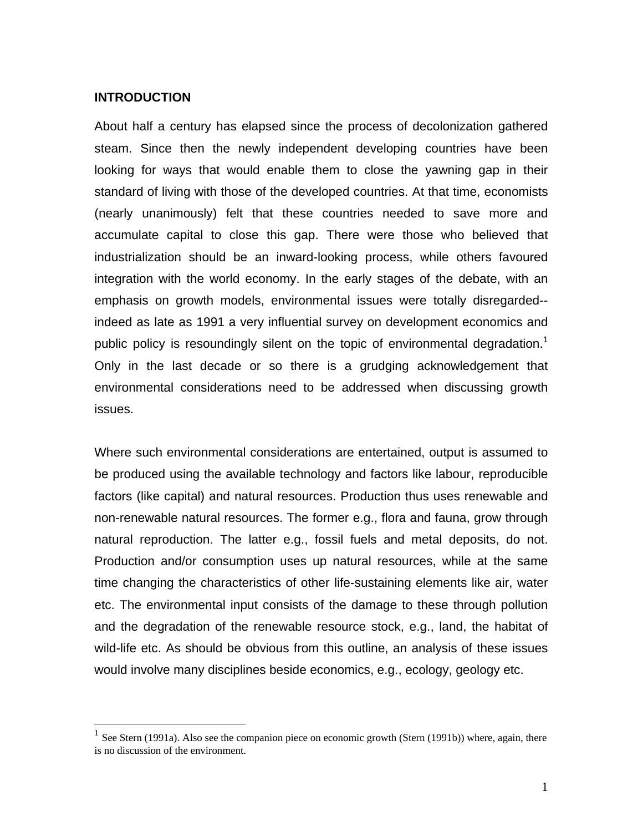#### **INTRODUCTION**

1

About half a century has elapsed since the process of decolonization gathered steam. Since then the newly independent developing countries have been looking for ways that would enable them to close the yawning gap in their standard of living with those of the developed countries. At that time, economists (nearly unanimously) felt that these countries needed to save more and accumulate capital to close this gap. There were those who believed that industrialization should be an inward-looking process, while others favoured integration with the world economy. In the early stages of the debate, with an emphasis on growth models, environmental issues were totally disregarded- indeed as late as 1991 a very influential survey on development economics and public policy is resoundingly silent on the topic of environmental degradation.<sup>[1](#page-1-0)</sup> Only in the last decade or so there is a grudging acknowledgement that environmental considerations need to be addressed when discussing growth issues.

Where such environmental considerations are entertained, output is assumed to be produced using the available technology and factors like labour, reproducible factors (like capital) and natural resources. Production thus uses renewable and non-renewable natural resources. The former e.g., flora and fauna, grow through natural reproduction. The latter e.g., fossil fuels and metal deposits, do not. Production and/or consumption uses up natural resources, while at the same time changing the characteristics of other life-sustaining elements like air, water etc. The environmental input consists of the damage to these through pollution and the degradation of the renewable resource stock, e.g., land, the habitat of wild-life etc. As should be obvious from this outline, an analysis of these issues would involve many disciplines beside economics, e.g., ecology, geology etc.

<span id="page-1-0"></span><sup>&</sup>lt;sup>1</sup> See Stern (1991a). Also see the companion piece on economic growth (Stern (1991b)) where, again, there is no discussion of the environment.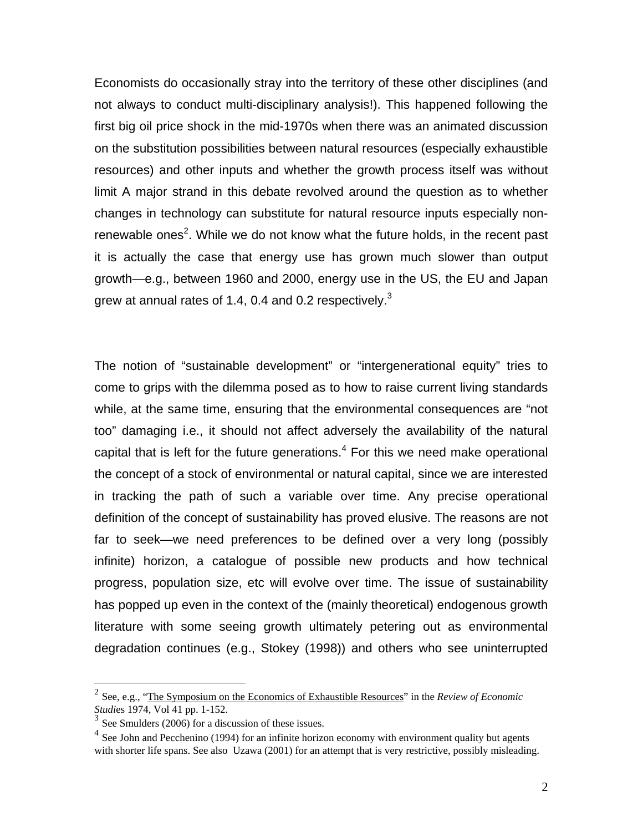Economists do occasionally stray into the territory of these other disciplines (and not always to conduct multi-disciplinary analysis!). This happened following the first big oil price shock in the mid-1970s when there was an animated discussion on the substitution possibilities between natural resources (especially exhaustible resources) and other inputs and whether the growth process itself was without limit A major strand in this debate revolved around the question as to whether changes in technology can substitute for natural resource inputs especially non-renewable ones<sup>[2](#page-2-0)</sup>. While we do not know what the future holds, in the recent past it is actually the case that energy use has grown much slower than output growth—e.g., between 1960 and 2000, energy use in the US, the EU and Japan grew at annual rates of 1.4, 0.4 and 0.2 respectively. $3$ 

The notion of "sustainable development" or "intergenerational equity" tries to come to grips with the dilemma posed as to how to raise current living standards while, at the same time, ensuring that the environmental consequences are "not too" damaging i.e., it should not affect adversely the availability of the natural capital that is left for the future generations. $4$  For this we need make operational the concept of a stock of environmental or natural capital, since we are interested in tracking the path of such a variable over time. Any precise operational definition of the concept of sustainability has proved elusive. The reasons are not far to seek—we need preferences to be defined over a very long (possibly infinite) horizon, a catalogue of possible new products and how technical progress, population size, etc will evolve over time. The issue of sustainability has popped up even in the context of the (mainly theoretical) endogenous growth literature with some seeing growth ultimately petering out as environmental degradation continues (e.g., Stokey (1998)) and others who see uninterrupted

 $\overline{a}$ 

<span id="page-2-0"></span><sup>2</sup> See, e.g., "The Symposium [on the Economics of Exhaustible Resources"](http://www.jstor.org.libproxy1.nus.edu.sg/browse/00346527/di990627?frame=noframe&userID=89847b4a@nus.edu.sg/01cce4403500501b8637f&dpi=3&config=jstor) in the *Review of Economic Studi*es 1974, Vol 41 pp. 1-152.

<span id="page-2-1"></span>See Smulders (2006) for a discussion of these issues.

<span id="page-2-2"></span> $4$  See John and Pecchenino (1994) for an infinite horizon economy with environment quality but agents with shorter life spans. See also Uzawa (2001) for an attempt that is very restrictive, possibly misleading.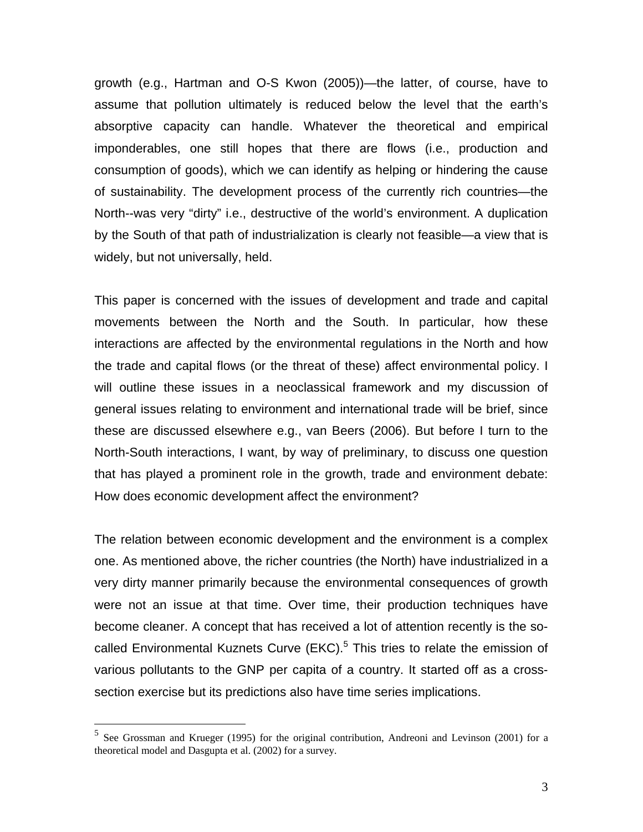growth (e.g., Hartman and O-S Kwon (2005))—the latter, of course, have to assume that pollution ultimately is reduced below the level that the earth's absorptive capacity can handle. Whatever the theoretical and empirical imponderables, one still hopes that there are flows (i.e., production and consumption of goods), which we can identify as helping or hindering the cause of sustainability. The development process of the currently rich countries—the North--was very "dirty" i.e., destructive of the world's environment. A duplication by the South of that path of industrialization is clearly not feasible—a view that is widely, but not universally, held.

This paper is concerned with the issues of development and trade and capital movements between the North and the South. In particular, how these interactions are affected by the environmental regulations in the North and how the trade and capital flows (or the threat of these) affect environmental policy. I will outline these issues in a neoclassical framework and my discussion of general issues relating to environment and international trade will be brief, since these are discussed elsewhere e.g., van Beers (2006). But before I turn to the North-South interactions, I want, by way of preliminary, to discuss one question that has played a prominent role in the growth, trade and environment debate: How does economic development affect the environment?

The relation between economic development and the environment is a complex one. As mentioned above, the richer countries (the North) have industrialized in a very dirty manner primarily because the environmental consequences of growth were not an issue at that time. Over time, their production techniques have become cleaner. A concept that has received a lot of attention recently is the so-called Environmental Kuznets Curve (EKC).<sup>[5](#page-3-0)</sup> This tries to relate the emission of various pollutants to the GNP per capita of a country. It started off as a crosssection exercise but its predictions also have time series implications.

1

<span id="page-3-0"></span><sup>&</sup>lt;sup>5</sup> See Grossman and Krueger (1995) for the original contribution, Andreoni and Levinson (2001) for a theoretical model and Dasgupta et al. (2002) for a survey.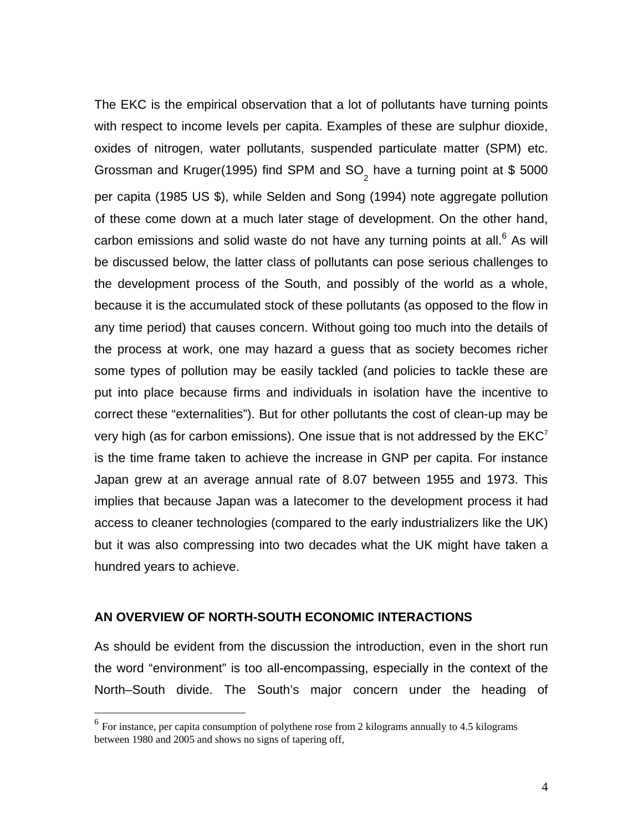The EKC is the empirical observation that a lot of pollutants have turning points with respect to income levels per capita. Examples of these are sulphur dioxide, oxides of nitrogen, water pollutants, suspended particulate matter (SPM) etc. Grossman and Kruger(1995) find SPM and SO<sub>2</sub> have a turning point at \$ 5000 per capita (1985 US \$), while Selden and Song (1994) note aggregate pollution of these come down at a much later stage of development. On the other hand, carbon emissions and solid waste do not have any turning points at all. $6$  As will be discussed below, the latter class of pollutants can pose serious challenges to the development process of the South, and possibly of the world as a whole, because it is the accumulated stock of these pollutants (as opposed to the flow in any time period) that causes concern. Without going too much into the details of the process at work, one may hazard a guess that as society becomes richer some types of pollution may be easily tackled (and policies to tackle these are put into place because firms and individuals in isolation have the incentive to correct these "externalities"). But for other pollutants the cost of clean-up may be very high (as for carbon emissions). One issue that is not addressed by the  $EKC<sup>7</sup>$ is the time frame taken to achieve the increase in GNP per capita. For instance Japan grew at an average annual rate of 8.07 between 1955 and 1973. This implies that because Japan was a latecomer to the development process it had access to cleaner technologies (compared to the early industrializers like the UK) but it was also compressing into two decades what the UK might have taken a hundred years to achieve.

#### **AN OVERVIEW OF NORTH-SOUTH ECONOMIC INTERACTIONS**

<u>.</u>

As should be evident from the discussion the introduction, even in the short run the word "environment" is too all-encompassing, especially in the context of the North–South divide. The South's major concern under the heading of

<span id="page-4-1"></span><span id="page-4-0"></span> $<sup>6</sup>$  For instance, per capita consumption of polythene rose from 2 kilograms annually to 4.5 kilograms</sup> between 1980 and 2005 and shows no signs of tapering off,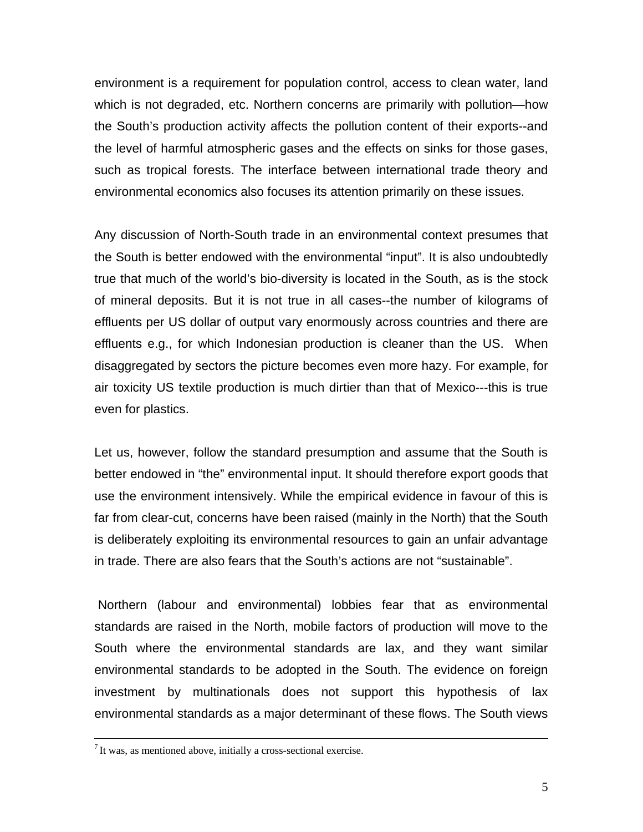environment is a requirement for population control, access to clean water, land which is not degraded, etc. Northern concerns are primarily with pollution—how the South's production activity affects the pollution content of their exports--and the level of harmful atmospheric gases and the effects on sinks for those gases, such as tropical forests. The interface between international trade theory and environmental economics also focuses its attention primarily on these issues.

Any discussion of North-South trade in an environmental context presumes that the South is better endowed with the environmental "input". It is also undoubtedly true that much of the world's bio-diversity is located in the South, as is the stock of mineral deposits. But it is not true in all cases--the number of kilograms of effluents per US dollar of output vary enormously across countries and there are effluents e.g., for which Indonesian production is cleaner than the US. When disaggregated by sectors the picture becomes even more hazy. For example, for air toxicity US textile production is much dirtier than that of Mexico---this is true even for plastics.

Let us, however, follow the standard presumption and assume that the South is better endowed in "the" environmental input. It should therefore export goods that use the environment intensively. While the empirical evidence in favour of this is far from clear-cut, concerns have been raised (mainly in the North) that the South is deliberately exploiting its environmental resources to gain an unfair advantage in trade. There are also fears that the South's actions are not "sustainable".

Northern (labour and environmental) lobbies fear that as environmental standards are raised in the North, mobile factors of production will move to the South where the environmental standards are lax, and they want similar environmental standards to be adopted in the South. The evidence on foreign investment by multinationals does not support this hypothesis of lax environmental standards as a major determinant of these flows. The South views

 $<sup>7</sup>$  It was, as mentioned above, initially a cross-sectional exercise.</sup>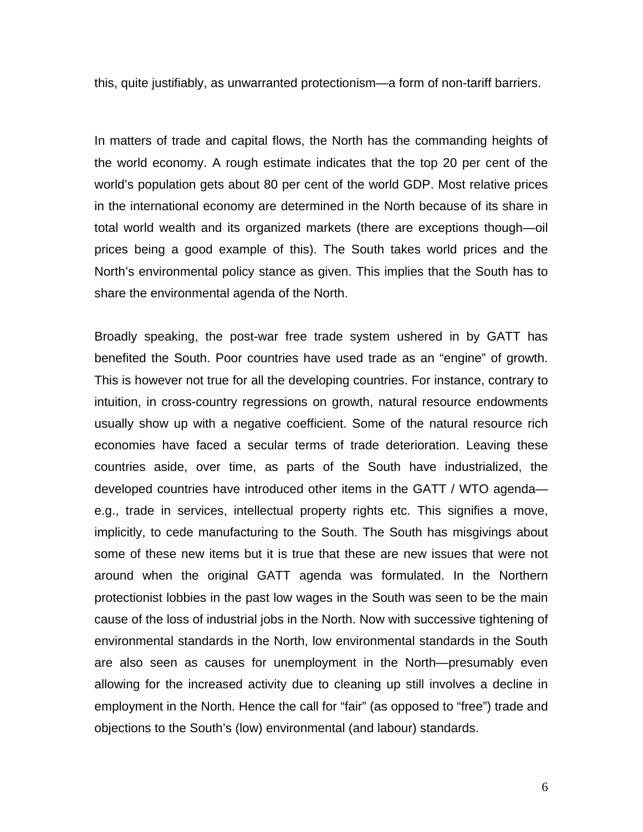this, quite justifiably, as unwarranted protectionism—a form of non-tariff barriers.

In matters of trade and capital flows, the North has the commanding heights of the world economy. A rough estimate indicates that the top 20 per cent of the world's population gets about 80 per cent of the world GDP. Most relative prices in the international economy are determined in the North because of its share in total world wealth and its organized markets (there are exceptions though—oil prices being a good example of this). The South takes world prices and the North's environmental policy stance as given. This implies that the South has to share the environmental agenda of the North.

Broadly speaking, the post-war free trade system ushered in by GATT has benefited the South. Poor countries have used trade as an "engine" of growth. This is however not true for all the developing countries. For instance, contrary to intuition, in cross-country regressions on growth, natural resource endowments usually show up with a negative coefficient. Some of the natural resource rich economies have faced a secular terms of trade deterioration. Leaving these countries aside, over time, as parts of the South have industrialized, the developed countries have introduced other items in the GATT / WTO agenda e.g., trade in services, intellectual property rights etc. This signifies a move, implicitly, to cede manufacturing to the South. The South has misgivings about some of these new items but it is true that these are new issues that were not around when the original GATT agenda was formulated. In the Northern protectionist lobbies in the past low wages in the South was seen to be the main cause of the loss of industrial jobs in the North. Now with successive tightening of environmental standards in the North, low environmental standards in the South are also seen as causes for unemployment in the North—presumably even allowing for the increased activity due to cleaning up still involves a decline in employment in the North. Hence the call for "fair" (as opposed to "free") trade and objections to the South's (low) environmental (and labour) standards.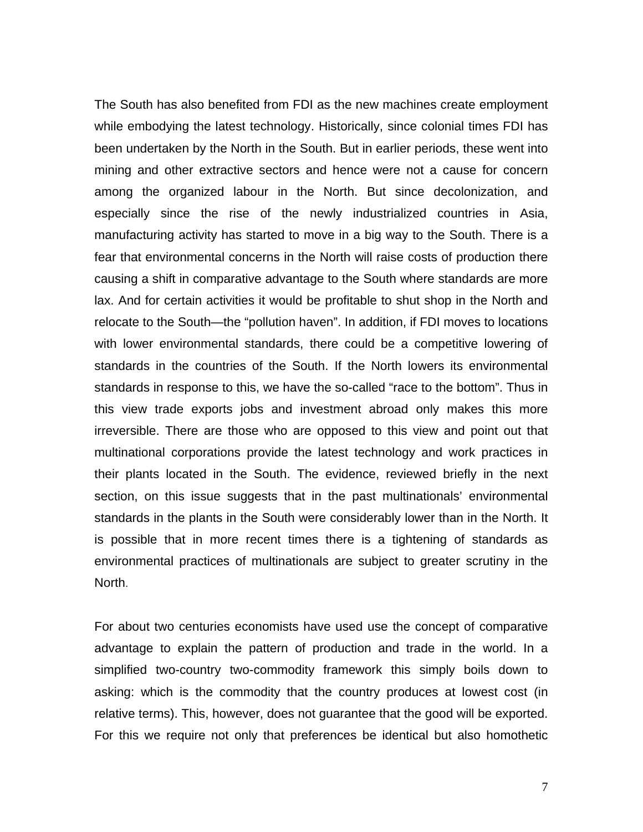The South has also benefited from FDI as the new machines create employment while embodying the latest technology. Historically, since colonial times FDI has been undertaken by the North in the South. But in earlier periods, these went into mining and other extractive sectors and hence were not a cause for concern among the organized labour in the North. But since decolonization, and especially since the rise of the newly industrialized countries in Asia, manufacturing activity has started to move in a big way to the South. There is a fear that environmental concerns in the North will raise costs of production there causing a shift in comparative advantage to the South where standards are more lax. And for certain activities it would be profitable to shut shop in the North and relocate to the South—the "pollution haven". In addition, if FDI moves to locations with lower environmental standards, there could be a competitive lowering of standards in the countries of the South. If the North lowers its environmental standards in response to this, we have the so-called "race to the bottom". Thus in this view trade exports jobs and investment abroad only makes this more irreversible. There are those who are opposed to this view and point out that multinational corporations provide the latest technology and work practices in their plants located in the South. The evidence, reviewed briefly in the next section, on this issue suggests that in the past multinationals' environmental standards in the plants in the South were considerably lower than in the North. It is possible that in more recent times there is a tightening of standards as environmental practices of multinationals are subject to greater scrutiny in the North.

For about two centuries economists have used use the concept of comparative advantage to explain the pattern of production and trade in the world. In a simplified two-country two-commodity framework this simply boils down to asking: which is the commodity that the country produces at lowest cost (in relative terms). This, however, does not guarantee that the good will be exported. For this we require not only that preferences be identical but also homothetic

7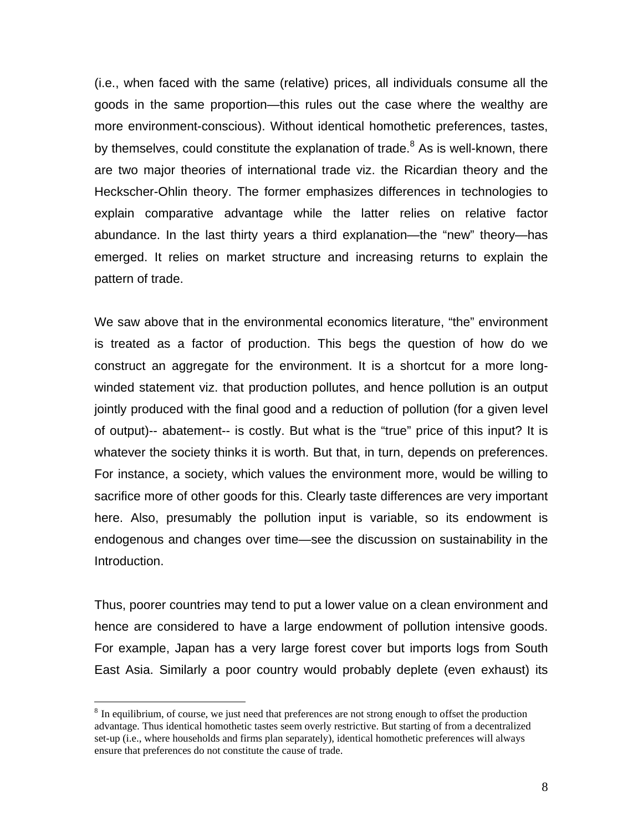(i.e., when faced with the same (relative) prices, all individuals consume all the goods in the same proportion—this rules out the case where the wealthy are more environment-conscious). Without identical homothetic preferences, tastes, by themselves, could constitute the explanation of trade.<sup>[8](#page-8-0)</sup> As is well-known, there are two major theories of international trade viz. the Ricardian theory and the Heckscher-Ohlin theory. The former emphasizes differences in technologies to explain comparative advantage while the latter relies on relative factor abundance. In the last thirty years a third explanation—the "new" theory—has emerged. It relies on market structure and increasing returns to explain the pattern of trade.

We saw above that in the environmental economics literature, "the" environment is treated as a factor of production. This begs the question of how do we construct an aggregate for the environment. It is a shortcut for a more longwinded statement viz. that production pollutes, and hence pollution is an output jointly produced with the final good and a reduction of pollution (for a given level of output)-- abatement-- is costly. But what is the "true" price of this input? It is whatever the society thinks it is worth. But that, in turn, depends on preferences. For instance, a society, which values the environment more, would be willing to sacrifice more of other goods for this. Clearly taste differences are very important here. Also, presumably the pollution input is variable, so its endowment is endogenous and changes over time—see the discussion on sustainability in the Introduction.

Thus, poorer countries may tend to put a lower value on a clean environment and hence are considered to have a large endowment of pollution intensive goods. For example, Japan has a very large forest cover but imports logs from South East Asia. Similarly a poor country would probably deplete (even exhaust) its

 $\overline{a}$ 

<span id="page-8-0"></span><sup>&</sup>lt;sup>8</sup> In equilibrium, of course, we just need that preferences are not strong enough to offset the production advantage. Thus identical homothetic tastes seem overly restrictive. But starting of from a decentralized set-up (i.e., where households and firms plan separately), identical homothetic preferences will always ensure that preferences do not constitute the cause of trade.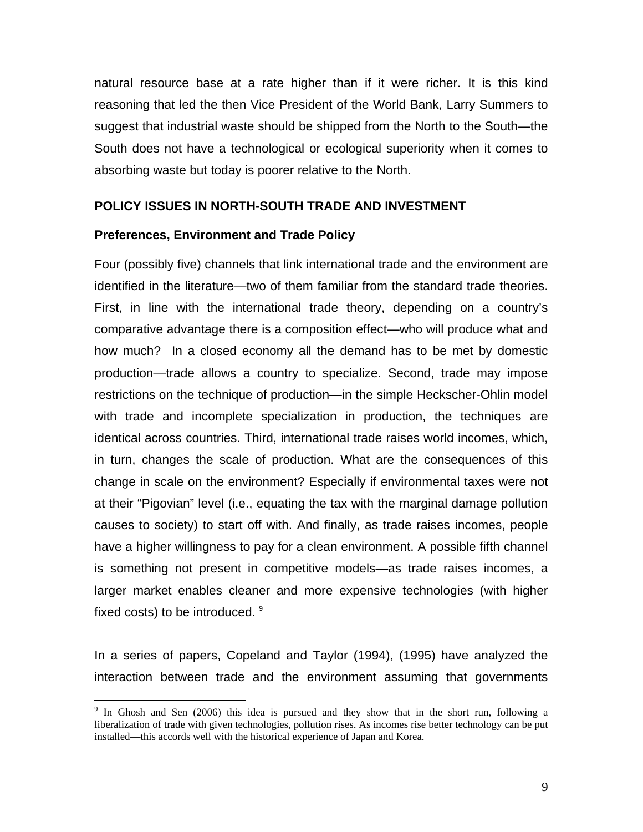natural resource base at a rate higher than if it were richer. It is this kind reasoning that led the then Vice President of the World Bank, Larry Summers to suggest that industrial waste should be shipped from the North to the South—the South does not have a technological or ecological superiority when it comes to absorbing waste but today is poorer relative to the North.

#### **POLICY ISSUES IN NORTH-SOUTH TRADE AND INVESTMENT**

#### **Preferences, Environment and Trade Policy**

 $\overline{a}$ 

Four (possibly five) channels that link international trade and the environment are identified in the literature—two of them familiar from the standard trade theories. First, in line with the international trade theory, depending on a country's comparative advantage there is a composition effect—who will produce what and how much? In a closed economy all the demand has to be met by domestic production—trade allows a country to specialize. Second, trade may impose restrictions on the technique of production—in the simple Heckscher-Ohlin model with trade and incomplete specialization in production, the techniques are identical across countries. Third, international trade raises world incomes, which, in turn, changes the scale of production. What are the consequences of this change in scale on the environment? Especially if environmental taxes were not at their "Pigovian" level (i.e., equating the tax with the marginal damage pollution causes to society) to start off with. And finally, as trade raises incomes, people have a higher willingness to pay for a clean environment. A possible fifth channel is something not present in competitive models—as trade raises incomes, a larger market enables cleaner and more expensive technologies (with higher fixed costs) to be introduced. <sup>[9](#page-9-0)</sup>

In a series of papers, Copeland and Taylor (1994), (1995) have analyzed the interaction between trade and the environment assuming that governments

<span id="page-9-0"></span><sup>&</sup>lt;sup>9</sup> In Ghosh and Sen (2006) this idea is pursued and they show that in the short run, following a liberalization of trade with given technologies, pollution rises. As incomes rise better technology can be put installed—this accords well with the historical experience of Japan and Korea.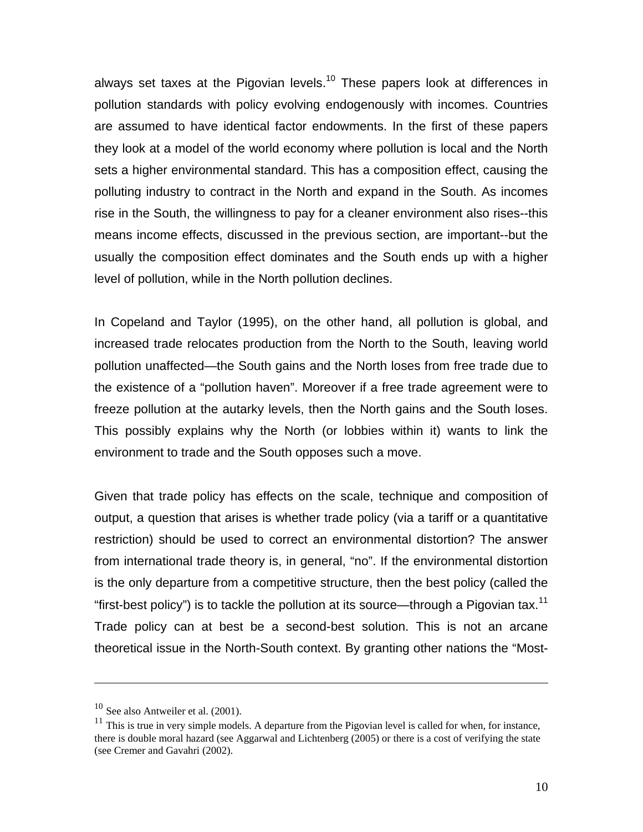always set taxes at the Pigovian levels.<sup>10</sup> These papers look at differences in pollution standards with policy evolving endogenously with incomes. Countries are assumed to have identical factor endowments. In the first of these papers they look at a model of the world economy where pollution is local and the North sets a higher environmental standard. This has a composition effect, causing the polluting industry to contract in the North and expand in the South. As incomes rise in the South, the willingness to pay for a cleaner environment also rises--this means income effects, discussed in the previous section, are important--but the usually the composition effect dominates and the South ends up with a higher level of pollution, while in the North pollution declines.

In Copeland and Taylor (1995), on the other hand, all pollution is global, and increased trade relocates production from the North to the South, leaving world pollution unaffected—the South gains and the North loses from free trade due to the existence of a "pollution haven". Moreover if a free trade agreement were to freeze pollution at the autarky levels, then the North gains and the South loses. This possibly explains why the North (or lobbies within it) wants to link the environment to trade and the South opposes such a move.

Given that trade policy has effects on the scale, technique and composition of output, a question that arises is whether trade policy (via a tariff or a quantitative restriction) should be used to correct an environmental distortion? The answer from international trade theory is, in general, "no". If the environmental distortion is the only departure from a competitive structure, then the best policy (called the "first-best policy") is to tackle the pollution at its source—through a Pigovian tax.<sup>[11](#page-10-1)</sup> Trade policy can at best be a second-best solution. This is not an arcane theoretical issue in the North-South context. By granting other nations the "Most-

<u>.</u>

<span id="page-10-0"></span> $10$  See also Antweiler et al. (2001).

<span id="page-10-1"></span> $11$  This is true in very simple models. A departure from the Pigovian level is called for when, for instance, there is double moral hazard (see Aggarwal and Lichtenberg (2005) or there is a cost of verifying the state (see Cremer and Gavahri (2002).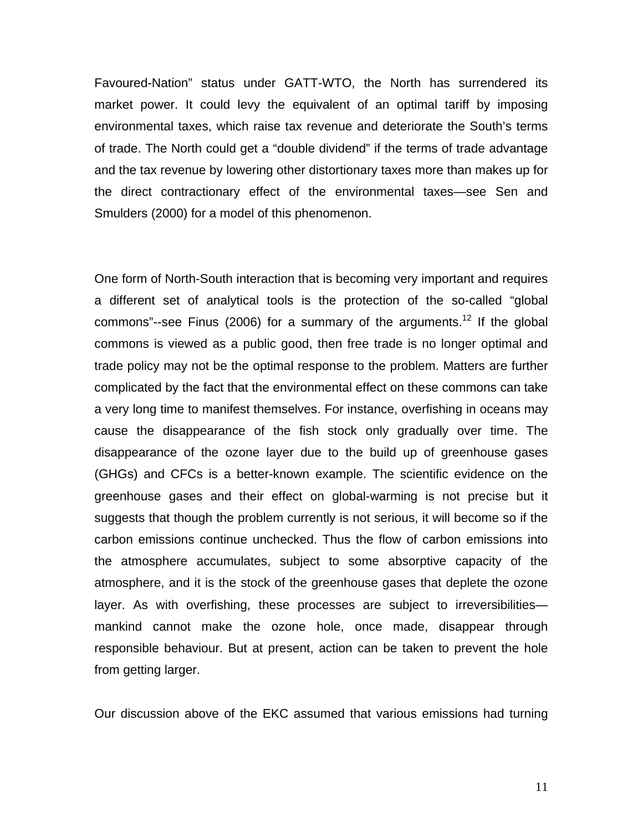Favoured-Nation" status under GATT-WTO, the North has surrendered its market power. It could levy the equivalent of an optimal tariff by imposing environmental taxes, which raise tax revenue and deteriorate the South's terms of trade. The North could get a "double dividend" if the terms of trade advantage and the tax revenue by lowering other distortionary taxes more than makes up for the direct contractionary effect of the environmental taxes—see Sen and Smulders (2000) for a model of this phenomenon.

One form of North-South interaction that is becoming very important and requires a different set of analytical tools is the protection of the so-called "global commons"--see Finus (2006) for a summary of the arguments.<sup>12</sup> If the global commons is viewed as a public good, then free trade is no longer optimal and trade policy may not be the optimal response to the problem. Matters are further complicated by the fact that the environmental effect on these commons can take a very long time to manifest themselves. For instance, overfishing in oceans may cause the disappearance of the fish stock only gradually over time. The disappearance of the ozone layer due to the build up of greenhouse gases (GHGs) and CFCs is a better-known example. The scientific evidence on the greenhouse gases and their effect on global-warming is not precise but it suggests that though the problem currently is not serious, it will become so if the carbon emissions continue unchecked. Thus the flow of carbon emissions into the atmosphere accumulates, subject to some absorptive capacity of the atmosphere, and it is the stock of the greenhouse gases that deplete the ozone layer. As with overfishing, these processes are subject to irreversibilities mankind cannot make the ozone hole, once made, disappear through responsible behaviour. But at present, action can be taken to prevent the hole from getting larger.

<span id="page-11-0"></span>Our discussion above of the EKC assumed that various emissions had turning

11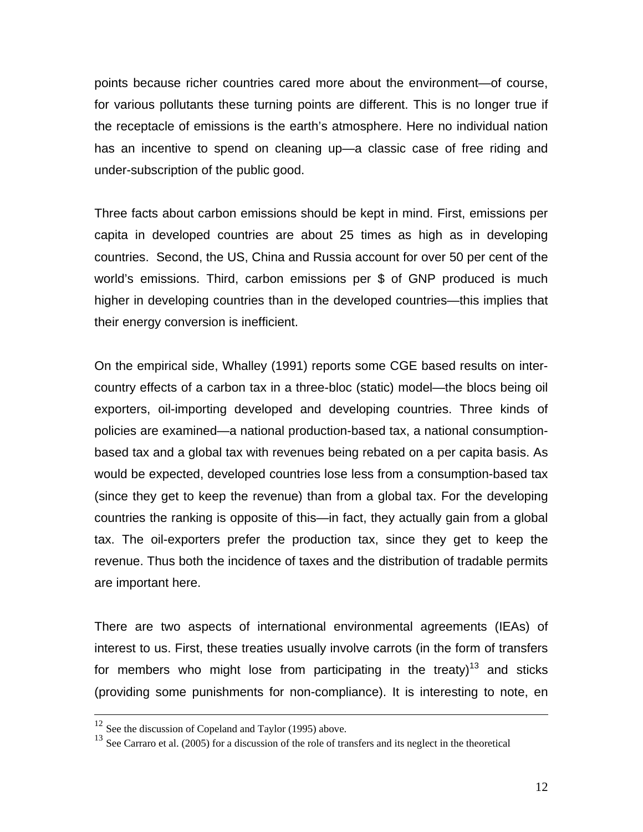points because richer countries cared more about the environment—of course, for various pollutants these turning points are different. This is no longer true if the receptacle of emissions is the earth's atmosphere. Here no individual nation has an incentive to spend on cleaning up—a classic case of free riding and under-subscription of the public good.

Three facts about carbon emissions should be kept in mind. First, emissions per capita in developed countries are about 25 times as high as in developing countries. Second, the US, China and Russia account for over 50 per cent of the world's emissions. Third, carbon emissions per \$ of GNP produced is much higher in developing countries than in the developed countries—this implies that their energy conversion is inefficient.

On the empirical side, Whalley (1991) reports some CGE based results on intercountry effects of a carbon tax in a three-bloc (static) model—the blocs being oil exporters, oil-importing developed and developing countries. Three kinds of policies are examined—a national production-based tax, a national consumptionbased tax and a global tax with revenues being rebated on a per capita basis. As would be expected, developed countries lose less from a consumption-based tax (since they get to keep the revenue) than from a global tax. For the developing countries the ranking is opposite of this—in fact, they actually gain from a global tax. The oil-exporters prefer the production tax, since they get to keep the revenue. Thus both the incidence of taxes and the distribution of tradable permits are important here.

There are two aspects of international environmental agreements (IEAs) of interest to us. First, these treaties usually involve carrots (in the form of transfers for members who might lose from participating in the treaty)<sup>13</sup> and sticks (providing some punishments for non-compliance). It is interesting to note, en

<sup>&</sup>lt;sup>12</sup> See the discussion of Copeland and Taylor (1995) above.

<span id="page-12-0"></span><sup>&</sup>lt;sup>13</sup> See Carraro et al. (2005) for a discussion of the role of transfers and its neglect in the theoretical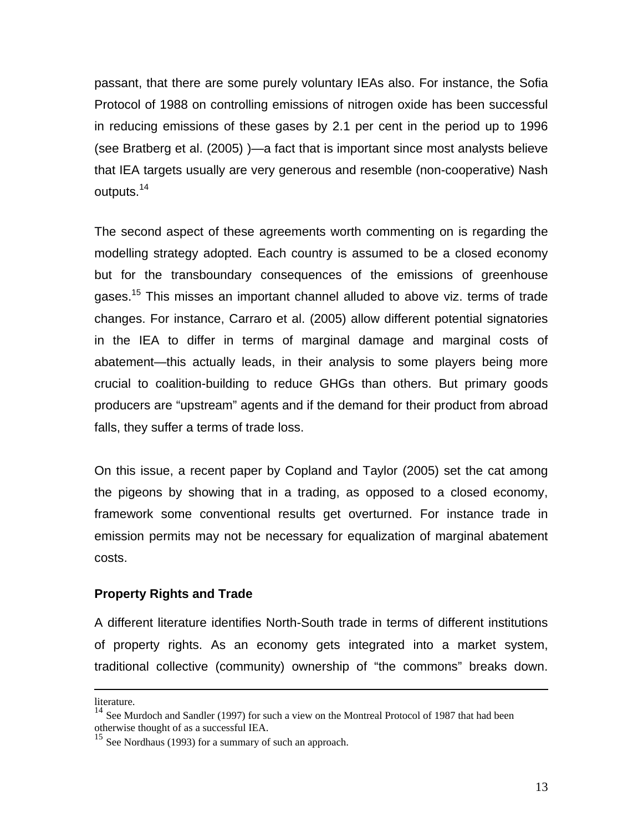passant, that there are some purely voluntary IEAs also. For instance, the Sofia Protocol of 1988 on controlling emissions of nitrogen oxide has been successful in reducing emissions of these gases by 2.1 per cent in the period up to 1996 (see Bratberg et al. (2005) )—a fact that is important since most analysts believe that IEA targets usually are very generous and resemble (non-cooperative) Nash outputs.[14](#page-13-0) 

The second aspect of these agreements worth commenting on is regarding the modelling strategy adopted. Each country is assumed to be a closed economy but for the transboundary consequences of the emissions of greenhouse gases.<sup>15</sup> This misses an important channel alluded to above viz. terms of trade changes. For instance, Carraro et al. (2005) allow different potential signatories in the IEA to differ in terms of marginal damage and marginal costs of abatement—this actually leads, in their analysis to some players being more crucial to coalition-building to reduce GHGs than others. But primary goods producers are "upstream" agents and if the demand for their product from abroad falls, they suffer a terms of trade loss.

On this issue, a recent paper by Copland and Taylor (2005) set the cat among the pigeons by showing that in a trading, as opposed to a closed economy, framework some conventional results get overturned. For instance trade in emission permits may not be necessary for equalization of marginal abatement costs.

# **Property Rights and Trade**

A different literature identifies North-South trade in terms of different institutions of property rights. As an economy gets integrated into a market system, traditional collective (community) ownership of "the commons" breaks down.

literature.

<span id="page-13-0"></span><sup>&</sup>lt;sup>14</sup> See Murdoch and Sandler (1997) for such a view on the Montreal Protocol of 1987 that had been otherwise thought of as a successful IEA.

<span id="page-13-1"></span> $15$  See Nordhaus (1993) for a summary of such an approach.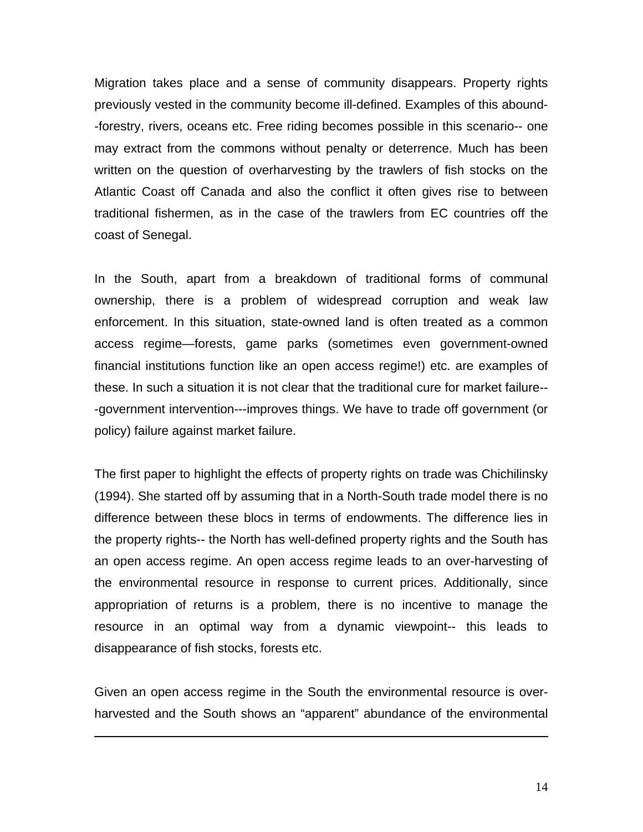Migration takes place and a sense of community disappears. Property rights previously vested in the community become ill-defined. Examples of this abound- -forestry, rivers, oceans etc. Free riding becomes possible in this scenario-- one may extract from the commons without penalty or deterrence. Much has been written on the question of overharvesting by the trawlers of fish stocks on the Atlantic Coast off Canada and also the conflict it often gives rise to between traditional fishermen, as in the case of the trawlers from EC countries off the coast of Senegal.

In the South, apart from a breakdown of traditional forms of communal ownership, there is a problem of widespread corruption and weak law enforcement. In this situation, state-owned land is often treated as a common access regime—forests, game parks (sometimes even government-owned financial institutions function like an open access regime!) etc. are examples of these. In such a situation it is not clear that the traditional cure for market failure-- -government intervention---improves things. We have to trade off government (or policy) failure against market failure.

The first paper to highlight the effects of property rights on trade was Chichilinsky (1994). She started off by assuming that in a North-South trade model there is no difference between these blocs in terms of endowments. The difference lies in the property rights-- the North has well-defined property rights and the South has an open access regime. An open access regime leads to an over-harvesting of the environmental resource in response to current prices. Additionally, since appropriation of returns is a problem, there is no incentive to manage the resource in an optimal way from a dynamic viewpoint-- this leads to disappearance of fish stocks, forests etc.

Given an open access regime in the South the environmental resource is overharvested and the South shows an "apparent" abundance of the environmental

 $\overline{a}$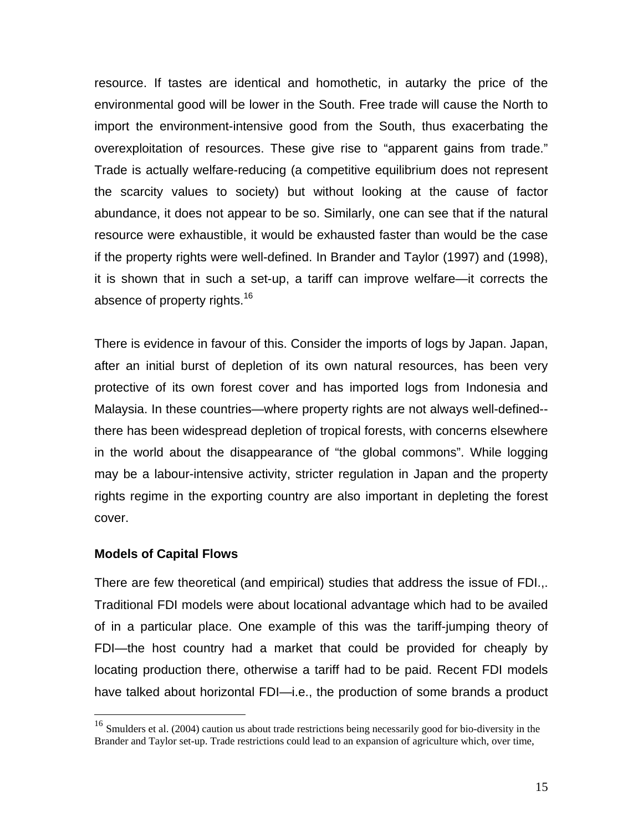resource. If tastes are identical and homothetic, in autarky the price of the environmental good will be lower in the South. Free trade will cause the North to import the environment-intensive good from the South, thus exacerbating the overexploitation of resources. These give rise to "apparent gains from trade." Trade is actually welfare-reducing (a competitive equilibrium does not represent the scarcity values to society) but without looking at the cause of factor abundance, it does not appear to be so. Similarly, one can see that if the natural resource were exhaustible, it would be exhausted faster than would be the case if the property rights were well-defined. In Brander and Taylor (1997) and (1998), it is shown that in such a set-up, a tariff can improve welfare—it corrects the absence of property rights.<sup>16</sup>

There is evidence in favour of this. Consider the imports of logs by Japan. Japan, after an initial burst of depletion of its own natural resources, has been very protective of its own forest cover and has imported logs from Indonesia and Malaysia. In these countries—where property rights are not always well-defined- there has been widespread depletion of tropical forests, with concerns elsewhere in the world about the disappearance of "the global commons". While logging may be a labour-intensive activity, stricter regulation in Japan and the property rights regime in the exporting country are also important in depleting the forest cover.

# **Models of Capital Flows**

1

There are few theoretical (and empirical) studies that address the issue of FDI.,. Traditional FDI models were about locational advantage which had to be availed of in a particular place. One example of this was the tariff-jumping theory of FDI—the host country had a market that could be provided for cheaply by locating production there, otherwise a tariff had to be paid. Recent FDI models have talked about horizontal FDI—i.e., the production of some brands a product

<span id="page-15-0"></span><sup>&</sup>lt;sup>16</sup> Smulders et al. (2004) caution us about trade restrictions being necessarily good for bio-diversity in the Brander and Taylor set-up. Trade restrictions could lead to an expansion of agriculture which, over time,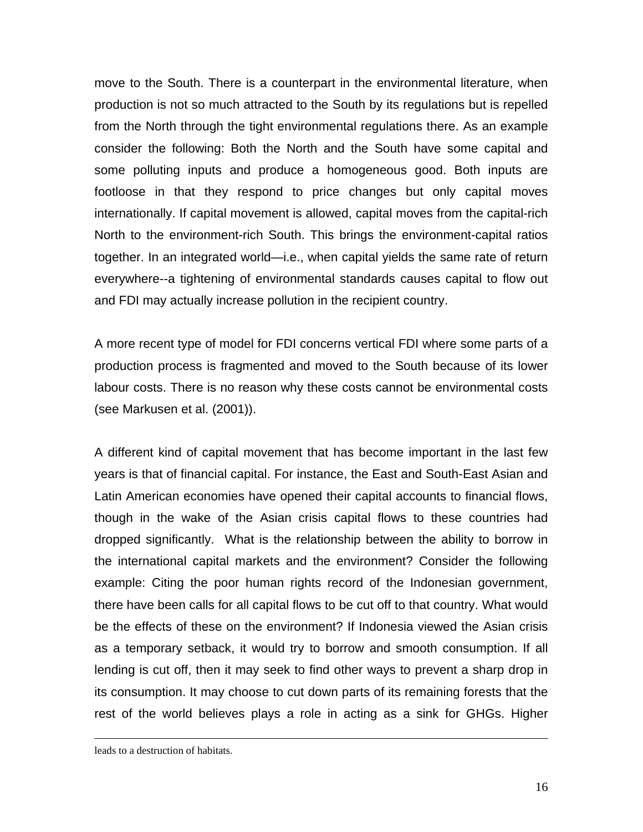move to the South. There is a counterpart in the environmental literature, when production is not so much attracted to the South by its regulations but is repelled from the North through the tight environmental regulations there. As an example consider the following: Both the North and the South have some capital and some polluting inputs and produce a homogeneous good. Both inputs are footloose in that they respond to price changes but only capital moves internationally. If capital movement is allowed, capital moves from the capital-rich North to the environment-rich South. This brings the environment-capital ratios together. In an integrated world—i.e., when capital yields the same rate of return everywhere--a tightening of environmental standards causes capital to flow out and FDI may actually increase pollution in the recipient country.

A more recent type of model for FDI concerns vertical FDI where some parts of a production process is fragmented and moved to the South because of its lower labour costs. There is no reason why these costs cannot be environmental costs (see Markusen et al. (2001)).

A different kind of capital movement that has become important in the last few years is that of financial capital. For instance, the East and South-East Asian and Latin American economies have opened their capital accounts to financial flows, though in the wake of the Asian crisis capital flows to these countries had dropped significantly. What is the relationship between the ability to borrow in the international capital markets and the environment? Consider the following example: Citing the poor human rights record of the Indonesian government, there have been calls for all capital flows to be cut off to that country. What would be the effects of these on the environment? If Indonesia viewed the Asian crisis as a temporary setback, it would try to borrow and smooth consumption. If all lending is cut off, then it may seek to find other ways to prevent a sharp drop in its consumption. It may choose to cut down parts of its remaining forests that the rest of the world believes plays a role in acting as a sink for GHGs. Higher

leads to a destruction of habitats.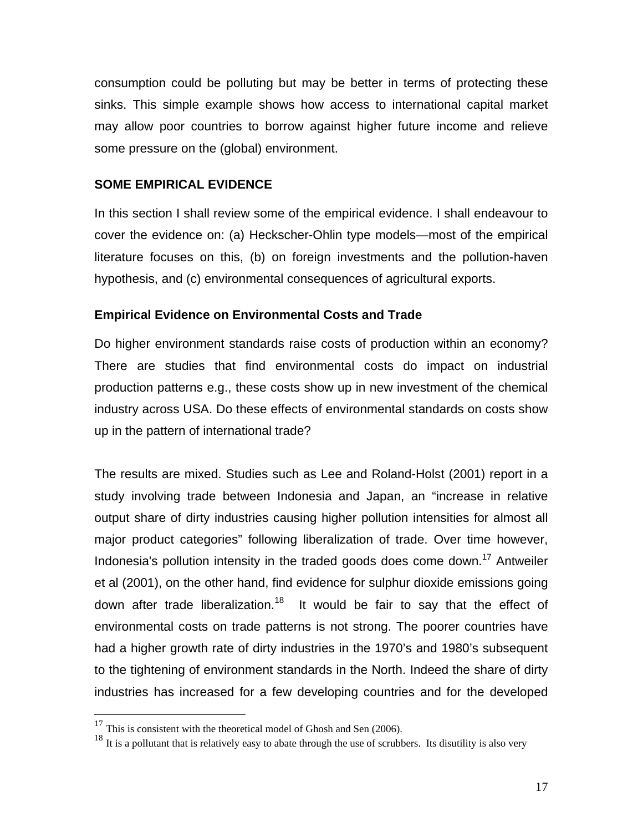consumption could be polluting but may be better in terms of protecting these sinks. This simple example shows how access to international capital market may allow poor countries to borrow against higher future income and relieve some pressure on the (global) environment.

# **SOME EMPIRICAL EVIDENCE**

In this section I shall review some of the empirical evidence. I shall endeavour to cover the evidence on: (a) Heckscher-Ohlin type models—most of the empirical literature focuses on this, (b) on foreign investments and the pollution-haven hypothesis, and (c) environmental consequences of agricultural exports.

# **Empirical Evidence on Environmental Costs and Trade**

Do higher environment standards raise costs of production within an economy? There are studies that find environmental costs do impact on industrial production patterns e.g., these costs show up in new investment of the chemical industry across USA. Do these effects of environmental standards on costs show up in the pattern of international trade?

The results are mixed. Studies such as Lee and Roland-Holst (2001) report in a study involving trade between Indonesia and Japan, an "increase in relative output share of dirty industries causing higher pollution intensities for almost all major product categories" following liberalization of trade. Over time however, Indonesia's pollution intensity in the traded goods does come down.<sup>17</sup> Antweiler et al (2001), on the other hand, find evidence for sulphur dioxide emissions going down after trade liberalization.<sup>18</sup> It would be fair to say that the effect of environmental costs on trade patterns is not strong. The poorer countries have had a higher growth rate of dirty industries in the 1970's and 1980's subsequent to the tightening of environment standards in the North. Indeed the share of dirty industries has increased for a few developing countries and for the developed

<span id="page-17-0"></span> $17$  This is consistent with the theoretical model of Ghosh and Sen (2006).

<span id="page-17-1"></span> $18$  It is a pollutant that is relatively easy to abate through the use of scrubbers. Its disutility is also very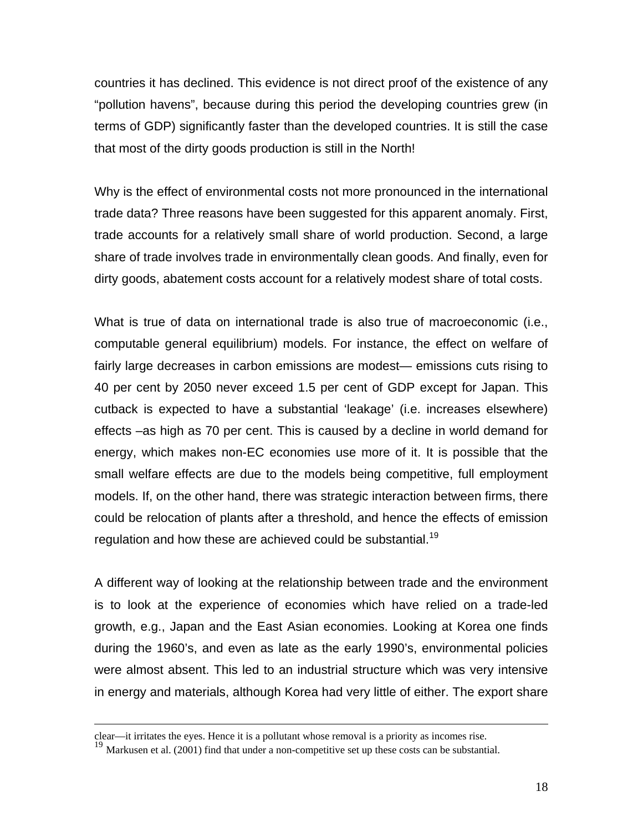countries it has declined. This evidence is not direct proof of the existence of any "pollution havens", because during this period the developing countries grew (in terms of GDP) significantly faster than the developed countries. It is still the case that most of the dirty goods production is still in the North!

Why is the effect of environmental costs not more pronounced in the international trade data? Three reasons have been suggested for this apparent anomaly. First, trade accounts for a relatively small share of world production. Second, a large share of trade involves trade in environmentally clean goods. And finally, even for dirty goods, abatement costs account for a relatively modest share of total costs.

What is true of data on international trade is also true of macroeconomic (i.e., computable general equilibrium) models. For instance, the effect on welfare of fairly large decreases in carbon emissions are modest— emissions cuts rising to 40 per cent by 2050 never exceed 1.5 per cent of GDP except for Japan. This cutback is expected to have a substantial 'leakage' (i.e. increases elsewhere) effects –as high as 70 per cent. This is caused by a decline in world demand for energy, which makes non-EC economies use more of it. It is possible that the small welfare effects are due to the models being competitive, full employment models. If, on the other hand, there was strategic interaction between firms, there could be relocation of plants after a threshold, and hence the effects of emission regulation and how these are achieved could be substantial.<sup>[19](#page-18-0)</sup>

A different way of looking at the relationship between trade and the environment is to look at the experience of economies which have relied on a trade-led growth, e.g., Japan and the East Asian economies. Looking at Korea one finds during the 1960's, and even as late as the early 1990's, environmental policies were almost absent. This led to an industrial structure which was very intensive in energy and materials, although Korea had very little of either. The export share

clear—it irritates the eyes. Hence it is a pollutant whose removal is a priority as incomes rise.

<span id="page-18-0"></span><sup>&</sup>lt;sup>19</sup> Markusen et al. (2001) find that under a non-competitive set up these costs can be substantial.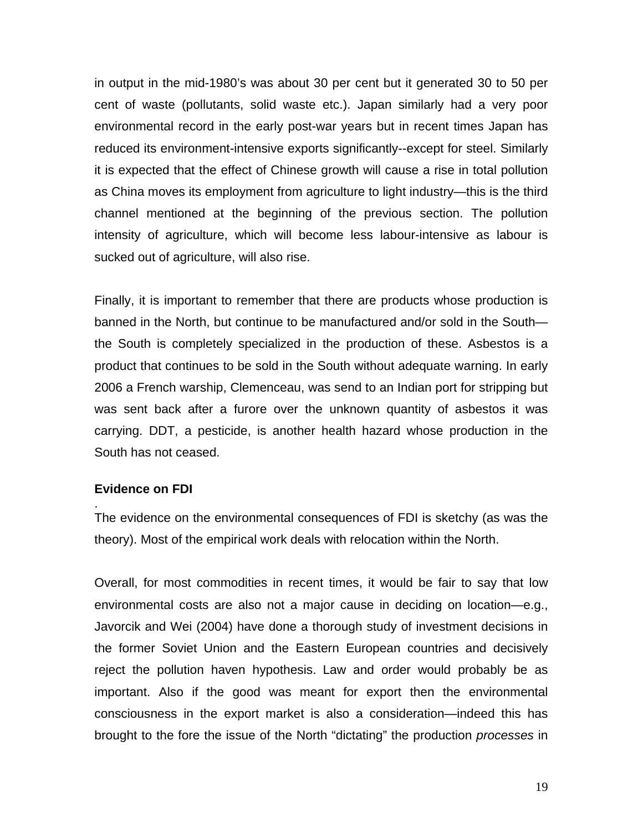in output in the mid-1980's was about 30 per cent but it generated 30 to 50 per cent of waste (pollutants, solid waste etc.). Japan similarly had a very poor environmental record in the early post-war years but in recent times Japan has reduced its environment-intensive exports significantly--except for steel. Similarly it is expected that the effect of Chinese growth will cause a rise in total pollution as China moves its employment from agriculture to light industry—this is the third channel mentioned at the beginning of the previous section. The pollution intensity of agriculture, which will become less labour-intensive as labour is sucked out of agriculture, will also rise.

Finally, it is important to remember that there are products whose production is banned in the North, but continue to be manufactured and/or sold in the South the South is completely specialized in the production of these. Asbestos is a product that continues to be sold in the South without adequate warning. In early 2006 a French warship, Clemenceau, was send to an Indian port for stripping but was sent back after a furore over the unknown quantity of asbestos it was carrying. DDT, a pesticide, is another health hazard whose production in the South has not ceased.

#### **Evidence on FDI**

.

The evidence on the environmental consequences of FDI is sketchy (as was the theory). Most of the empirical work deals with relocation within the North.

Overall, for most commodities in recent times, it would be fair to say that low environmental costs are also not a major cause in deciding on location—e.g., Javorcik and Wei (2004) have done a thorough study of investment decisions in the former Soviet Union and the Eastern European countries and decisively reject the pollution haven hypothesis. Law and order would probably be as important. Also if the good was meant for export then the environmental consciousness in the export market is also a consideration—indeed this has brought to the fore the issue of the North "dictating" the production *processes* in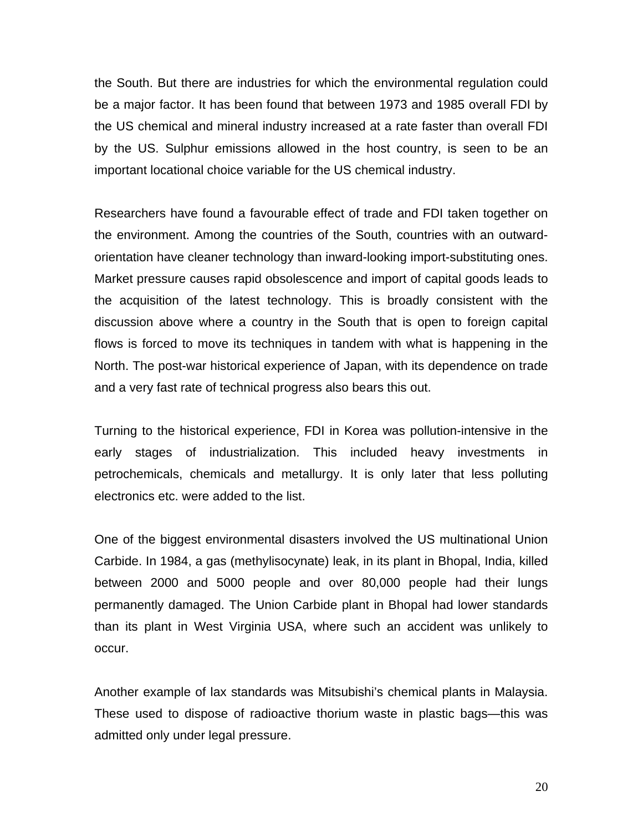the South. But there are industries for which the environmental regulation could be a major factor. It has been found that between 1973 and 1985 overall FDI by the US chemical and mineral industry increased at a rate faster than overall FDI by the US. Sulphur emissions allowed in the host country, is seen to be an important locational choice variable for the US chemical industry.

Researchers have found a favourable effect of trade and FDI taken together on the environment. Among the countries of the South, countries with an outwardorientation have cleaner technology than inward-looking import-substituting ones. Market pressure causes rapid obsolescence and import of capital goods leads to the acquisition of the latest technology. This is broadly consistent with the discussion above where a country in the South that is open to foreign capital flows is forced to move its techniques in tandem with what is happening in the North. The post-war historical experience of Japan, with its dependence on trade and a very fast rate of technical progress also bears this out.

Turning to the historical experience, FDI in Korea was pollution-intensive in the early stages of industrialization. This included heavy investments in petrochemicals, chemicals and metallurgy. It is only later that less polluting electronics etc. were added to the list.

One of the biggest environmental disasters involved the US multinational Union Carbide. In 1984, a gas (methylisocynate) leak, in its plant in Bhopal, India, killed between 2000 and 5000 people and over 80,000 people had their lungs permanently damaged. The Union Carbide plant in Bhopal had lower standards than its plant in West Virginia USA, where such an accident was unlikely to occur.

Another example of lax standards was Mitsubishi's chemical plants in Malaysia. These used to dispose of radioactive thorium waste in plastic bags—this was admitted only under legal pressure.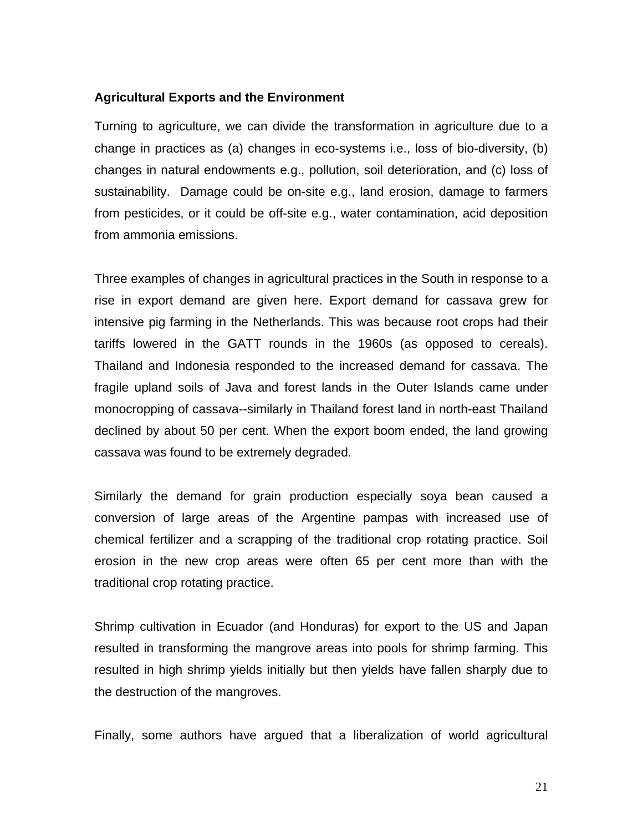# **Agricultural Exports and the Environment**

Turning to agriculture, we can divide the transformation in agriculture due to a change in practices as (a) changes in eco-systems i.e., loss of bio-diversity, (b) changes in natural endowments e.g., pollution, soil deterioration, and (c) loss of sustainability. Damage could be on-site e.g., land erosion, damage to farmers from pesticides, or it could be off-site e.g., water contamination, acid deposition from ammonia emissions.

Three examples of changes in agricultural practices in the South in response to a rise in export demand are given here. Export demand for cassava grew for intensive pig farming in the Netherlands. This was because root crops had their tariffs lowered in the GATT rounds in the 1960s (as opposed to cereals). Thailand and Indonesia responded to the increased demand for cassava. The fragile upland soils of Java and forest lands in the Outer Islands came under monocropping of cassava--similarly in Thailand forest land in north-east Thailand declined by about 50 per cent. When the export boom ended, the land growing cassava was found to be extremely degraded.

Similarly the demand for grain production especially soya bean caused a conversion of large areas of the Argentine pampas with increased use of chemical fertilizer and a scrapping of the traditional crop rotating practice. Soil erosion in the new crop areas were often 65 per cent more than with the traditional crop rotating practice.

Shrimp cultivation in Ecuador (and Honduras) for export to the US and Japan resulted in transforming the mangrove areas into pools for shrimp farming. This resulted in high shrimp yields initially but then yields have fallen sharply due to the destruction of the mangroves.

Finally, some authors have argued that a liberalization of world agricultural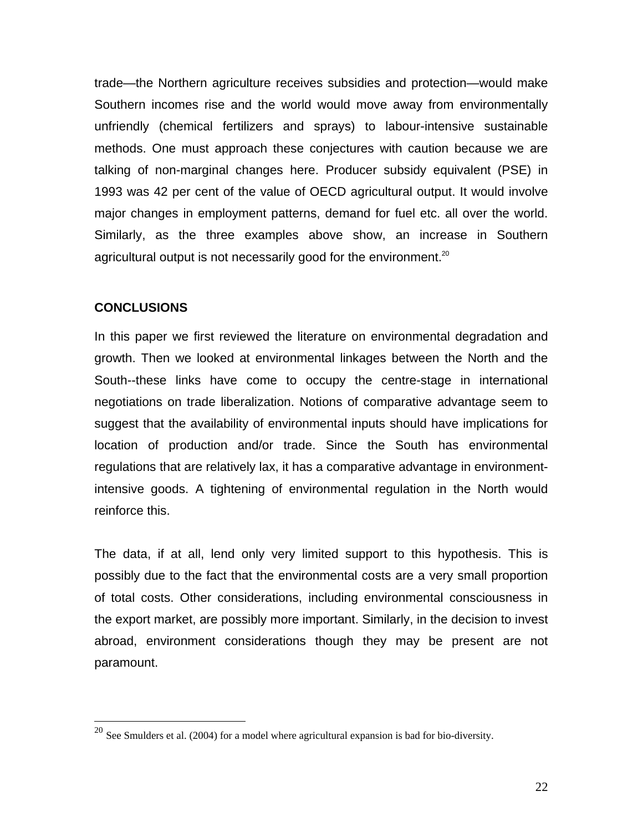trade—the Northern agriculture receives subsidies and protection—would make Southern incomes rise and the world would move away from environmentally unfriendly (chemical fertilizers and sprays) to labour-intensive sustainable methods. One must approach these conjectures with caution because we are talking of non-marginal changes here. Producer subsidy equivalent (PSE) in 1993 was 42 per cent of the value of OECD agricultural output. It would involve major changes in employment patterns, demand for fuel etc. all over the world. Similarly, as the three examples above show, an increase in Southern agricultural output is not necessarily good for the environment.<sup>[20](#page-22-0)</sup>

# **CONCLUSIONS**

1

In this paper we first reviewed the literature on environmental degradation and growth. Then we looked at environmental linkages between the North and the South--these links have come to occupy the centre-stage in international negotiations on trade liberalization. Notions of comparative advantage seem to suggest that the availability of environmental inputs should have implications for location of production and/or trade. Since the South has environmental regulations that are relatively lax, it has a comparative advantage in environmentintensive goods. A tightening of environmental regulation in the North would reinforce this.

The data, if at all, lend only very limited support to this hypothesis. This is possibly due to the fact that the environmental costs are a very small proportion of total costs. Other considerations, including environmental consciousness in the export market, are possibly more important. Similarly, in the decision to invest abroad, environment considerations though they may be present are not paramount.

<span id="page-22-0"></span> $^{20}$  See Smulders et al. (2004) for a model where agricultural expansion is bad for bio-diversity.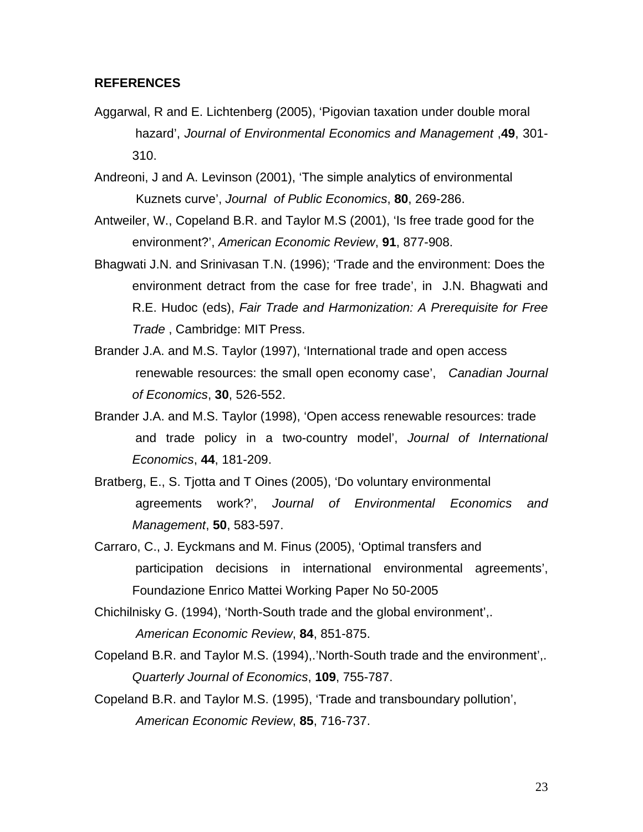#### **REFERENCES**

Aggarwal, R and E. Lichtenberg (2005), 'Pigovian taxation under double moral hazard', *Journal of Environmental Economics and Management* ,**49**, 301- 310.

Andreoni, J and A. Levinson (2001), 'The simple analytics of environmental Kuznets curve', *Journal of Public Economics*, **80**, 269-286.

Antweiler, W., Copeland B.R. and Taylor M.S (2001), 'Is free trade good for the environment?', *American Economic Review*, **91**, 877-908.

- Bhagwati J.N. and Srinivasan T.N. (1996); 'Trade and the environment: Does the environment detract from the case for free trade', in J.N. Bhagwati and R.E. Hudoc (eds), *Fair Trade and Harmonization: A Prerequisite for Free Trade* , Cambridge: MIT Press.
- Brander J.A. and M.S. Taylor (1997), 'International trade and open access renewable resources: the small open economy case', *Canadian Journal of Economics*, **30**, 526-552.
- Brander J.A. and M.S. Taylor (1998), 'Open access renewable resources: trade and trade policy in a two-country model', *Journal of International Economics*, **44**, 181-209.
- Bratberg, E., S. Tjotta and T Oines (2005), 'Do voluntary environmental agreements work?', *Journal of Environmental Economics and Management*, **50**, 583-597.
- Carraro, C., J. Eyckmans and M. Finus (2005), 'Optimal transfers and participation decisions in international environmental agreements', Foundazione Enrico Mattei Working Paper No 50-2005

Chichilnisky G. (1994), 'North-South trade and the global environment',. *American Economic Review*, **84**, 851-875.

- Copeland B.R. and Taylor M.S. (1994),.'North-South trade and the environment',. *Quarterly Journal of Economics*, **109**, 755-787.
- Copeland B.R. and Taylor M.S. (1995), 'Trade and transboundary pollution', *American Economic Review*, **85**, 716-737.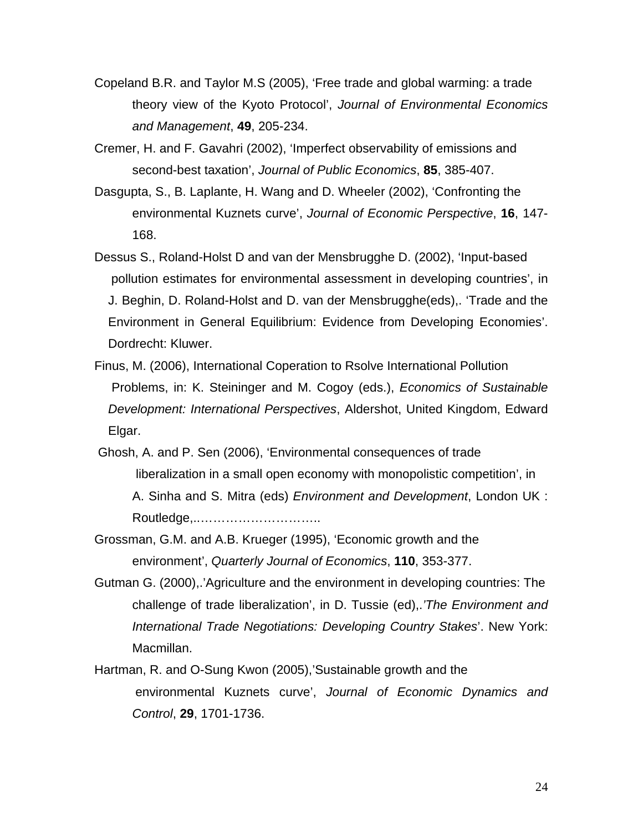- Copeland B.R. and Taylor M.S (2005), 'Free trade and global warming: a trade theory view of the Kyoto Protocol', *Journal of Environmental Economics and Management*, **49**, 205-234.
- Cremer, H. and F. Gavahri (2002), 'Imperfect observability of emissions and second-best taxation', *Journal of Public Economics*, **85**, 385-407.
- Dasgupta, S., B. Laplante, H. Wang and D. Wheeler (2002), 'Confronting the environmental Kuznets curve', *Journal of Economic Perspective*, **16**, 147- 168.
- Dessus S., Roland-Holst D and van der Mensbrugghe D. (2002), 'Input-based pollution estimates for environmental assessment in developing countries', in J. Beghin, D. Roland-Holst and D. van der Mensbrugghe(eds),. 'Trade and the Environment in General Equilibrium: Evidence from Developing Economies'. Dordrecht: Kluwer.
- Finus, M. (2006), International Coperation to Rsolve International Pollution Problems, in: K. Steininger and M. Cogoy (eds.), *Economics of Sustainable Development: International Perspectives*, Aldershot, United Kingdom, Edward Elgar.
- Ghosh, A. and P. Sen (2006), 'Environmental consequences of trade liberalization in a small open economy with monopolistic competition', in A. Sinha and S. Mitra (eds) *Environment and Development*, London UK : Routledge,..………………………..
- Grossman, G.M. and A.B. Krueger (1995), 'Economic growth and the environment', *Quarterly Journal of Economics*, **110**, 353-377.
- Gutman G. (2000),.'Agriculture and the environment in developing countries: The challenge of trade liberalization', in D. Tussie (ed),.*'The Environment and International Trade Negotiations: Developing Country Stakes*'. New York: Macmillan.
- Hartman, R. and O-Sung Kwon (2005),'Sustainable growth and the environmental Kuznets curve', *Journal of Economic Dynamics and Control*, **29**, 1701-1736.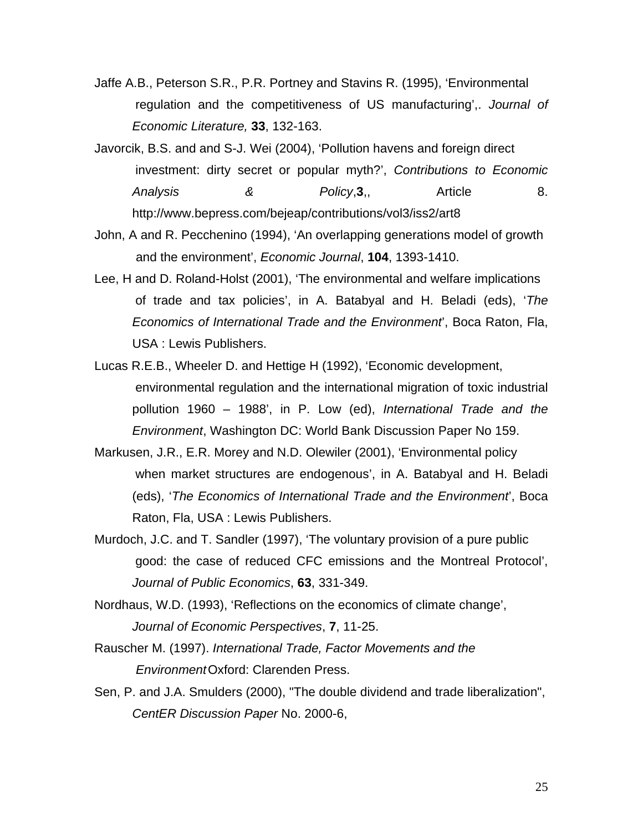- Jaffe A.B., Peterson S.R., P.R. Portney and Stavins R. (1995), 'Environmental regulation and the competitiveness of US manufacturing',. *Journal of Economic Literature,* **33**, 132-163.
- Javorcik, B.S. and and S-J. Wei (2004), 'Pollution havens and foreign direct investment: dirty secret or popular myth?', *Contributions to Economic Analysis* & *Policy*, **3**,, Article 8. http://www.bepress.com/bejeap/contributions/vol3/iss2/art8
- John, A and R. Pecchenino (1994), 'An overlapping generations model of growth and the environment', *Economic Journal*, **104**, 1393-1410.
- Lee, H and D. Roland-Holst (2001), 'The environmental and welfare implications of trade and tax policies', in A. Batabyal and H. Beladi (eds), '*The Economics of International Trade and the Environment*', Boca Raton, Fla, USA : Lewis Publishers.
- Lucas R.E.B., Wheeler D. and Hettige H (1992), 'Economic development, environmental regulation and the international migration of toxic industrial pollution 1960 – 1988', in P. Low (ed), *International Trade and the Environment*, Washington DC: World Bank Discussion Paper No 159.
- Markusen, J.R., E.R. Morey and N.D. Olewiler (2001), 'Environmental policy when market structures are endogenous', in A. Batabyal and H. Beladi (eds), '*The Economics of International Trade and the Environment*', Boca Raton, Fla, USA : Lewis Publishers.
- Murdoch, J.C. and T. Sandler (1997), 'The voluntary provision of a pure public good: the case of reduced CFC emissions and the Montreal Protocol', *Journal of Public Economics*, **63**, 331-349.
- Nordhaus, W.D. (1993), 'Reflections on the economics of climate change', *Journal of Economic Perspectives*, **7**, 11-25.
- Rauscher M. (1997). *International Trade, Factor Movements and the EnvironmentOxford: Clarenden Press.*
- Sen, P. and J.A. Smulders (2000), "The double dividend and trade liberalization", *CentER Discussion Paper* No. 2000-6,